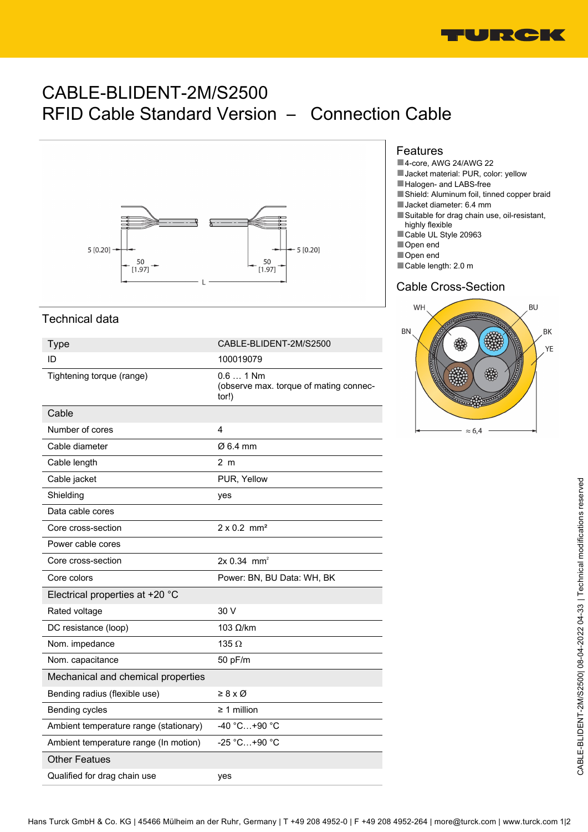

# CABLE-BLIDENT-2M/S2500 RFID Cable Standard Version – Connection Cable



## Technical data

| <b>Type</b>                            | CABLE-BLIDENT-2M/S2500                                        |
|----------------------------------------|---------------------------------------------------------------|
| ID                                     | 100019079                                                     |
| Tightening torque (range)              | $0.6$ 1 Nm<br>(observe max. torque of mating connec-<br>tor!) |
| Cable                                  |                                                               |
| Number of cores                        | 4                                                             |
| Cable diameter                         | Ø 6.4 mm                                                      |
| Cable length                           | 2 <sub>m</sub>                                                |
| Cable jacket                           | PUR, Yellow                                                   |
| Shielding                              | yes                                                           |
| Data cable cores                       |                                                               |
| Core cross-section                     | $2 \times 0.2$ mm <sup>2</sup>                                |
| Power cable cores                      |                                                               |
| Core cross-section                     | $2x 0.34$ mm <sup>2</sup>                                     |
| Core colors                            | Power: BN, BU Data: WH, BK                                    |
| Electrical properties at +20 °C        |                                                               |
| Rated voltage                          | 30 V                                                          |
| DC resistance (loop)                   | $103$ Ω/km                                                    |
| Nom. impedance                         | 135 $\Omega$                                                  |
| Nom. capacitance                       | 50 pF/m                                                       |
| Mechanical and chemical properties     |                                                               |
| Bending radius (flexible use)          | $\geq 8 \times \emptyset$                                     |
| Bending cycles                         | $\geq$ 1 million                                              |
| Ambient temperature range (stationary) | $-40 °C+90 °C$                                                |
| Ambient temperature range (In motion)  | -25 °C+90 °C                                                  |
| <b>Other Featues</b>                   |                                                               |
| Qualified for drag chain use           | yes                                                           |

#### Features

- ■4-core, AWG 24/AWG 22
- Jacket material: PUR, color: yellow
- ■Halogen- and LABS-free
- ■Shield: Aluminum foil, tinned copper braid
- ■Jacket diameter: 6.4 mm
- ■Suitable for drag chain use, oil-resistant, highly flexible
- ■Cable UL Style 20963
- ■Open end
- ■Open end
- ■Cable length: 2.0 m

### Cable Cross-Section